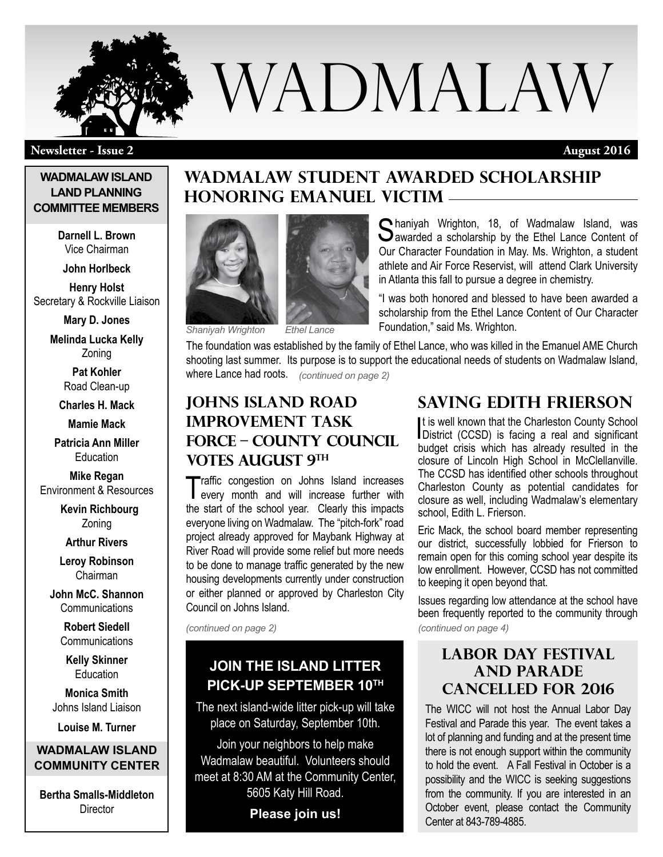

# WADMALAW

#### **Newsletter - Issue 2 August 2016**

#### **WADMALAW ISLAND LAND PLANNING COMMITTEE MEMBERS**

**Darnell L. Brown** Vice Chairman

**John Horlbeck** 

**Henry Holst** Secretary & Rockville Liaison

**Mary D. Jones** 

**Melinda Lucka Kelly** Zoning

> **Pat Kohler**  Road Clean-up

**Charles H. Mack** 

**Mamie Mack** 

**Patricia Ann Miller Education** 

**Mike Regan** Environment & Resources

> **Kevin Richbourg** Zoning

**Arthur Rivers**

**Leroy Robinson** Chairman

**John McC. Shannon Communications** 

> **Robert Siedell** Communications

**Kelly Skinner Education** 

**Monica Smith** Johns Island Liaison

**Louise M. Turner**

#### **WADMALAW ISLAND COMMUNITY CENTER**

**Bertha Smalls-Middleton Director** 

## **Wadmalaw Student Awarded Scholarship Honoring Emanuel Victim**



*Shaniyah Wrighton Ethel Lance*

scholarship from the Ethel Lance Content of Our Character Foundation," said Ms. Wrighton.

The foundation was established by the family of Ethel Lance, who was killed in the Emanuel AME Church shooting last summer. Its purpose is to support the educational needs of students on Wadmalaw Island, where Lance had roots. *(continued on page 2)*

## **Johns Island Road Improvement Task Force – County Council VOTES AUGUST 9TH**

Traffic congestion on Johns Island increases every month and will increase further with the start of the school year. Clearly this impacts everyone living on Wadmalaw. The "pitch-fork" road project already approved for Maybank Highway at River Road will provide some relief but more needs to be done to manage traffic generated by the new housing developments currently under construction or either planned or approved by Charleston City Council on Johns Island.

*(continued on page 2)*

## **Join the Island Litter Pick-up September 10th**

The next island-wide litter pick-up will take place on Saturday, September 10th.

Join your neighbors to help make Wadmalaw beautiful. Volunteers should meet at 8:30 AM at the Community Center, 5605 Katy Hill Road.

**Please join us!**

Our Character Foundation in May. Ms. Wrighton, a student athlete and Air Force Reservist, will attend Clark University in Atlanta this fall to pursue a degree in chemistry. "I was both honored and blessed to have been awarded a

Chaniyah Wrighton, 18, of Wadmalaw Island, was **D**awarded a scholarship by the Ethel Lance Content of

## **SAVING EDITH FRIERSON**

It is well known that the Charleston County School<br>District (CCSD) is facing a real and significant It is well known that the Charleston County School budget crisis which has already resulted in the closure of Lincoln High School in McClellanville. The CCSD has identified other schools throughout Charleston County as potential candidates for closure as well, including Wadmalaw's elementary school, Edith L. Frierson.

Eric Mack, the school board member representing our district, successfully lobbied for Frierson to remain open for this coming school year despite its low enrollment. However, CCSD has not committed to keeping it open beyond that.

Issues regarding low attendance at the school have been frequently reported to the community through *(continued on page 4)*

#### **Labor Day Festival and Parade Cancelled for 2016**

The WICC will not host the Annual Labor Day Festival and Parade this year. The event takes a lot of planning and funding and at the present time there is not enough support within the community to hold the event. A Fall Festival in October is a possibility and the WICC is seeking suggestions from the community. If you are interested in an October event, please contact the Community Center at 843-789-4885.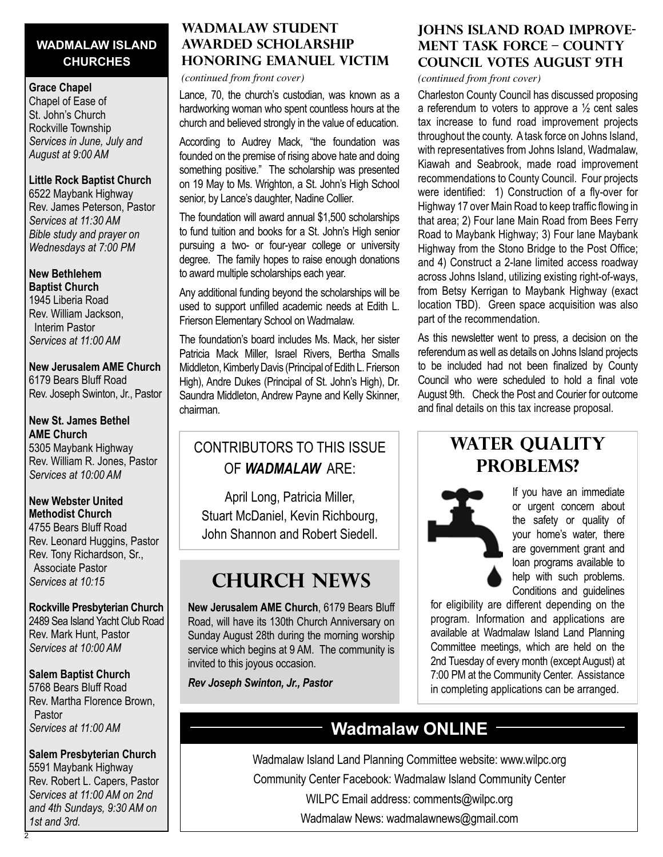#### **WADMALAW ISLAND CHURCHES**

#### **Grace Chapel**

Chapel of Ease of St. John's Church Rockville Township *Services in June, July and August at 9:00 AM*

#### **Little Rock Baptist Church**

6522 Maybank Highway Rev. James Peterson, Pastor *Services at 11:30 AM Bible study and prayer on Wednesdays at 7:00 PM*

#### **New Bethlehem Baptist Church**

1945 Liberia Road Rev. William Jackson, Interim Pastor *Services at 11:00 AM*

#### **New Jerusalem AME Church**

6179 Bears Bluff Road Rev. Joseph Swinton, Jr., Pastor

#### **New St. James Bethel AME Church**

5305 Maybank Highway Rev. William R. Jones, Pastor *Services at 10:00 AM*

#### **New Webster United Methodist Church**

4755 Bears Bluff Road Rev. Leonard Huggins, Pastor Rev. Tony Richardson, Sr., Associate Pastor *Services at 10:15*

#### **Rockville Presbyterian Church** 2489 Sea Island Yacht Club Road Rev. Mark Hunt, Pastor

*Services at 10:00 AM*

#### **Salem Baptist Church**

5768 Bears Bluff Road Rev. Martha Florence Brown, Pastor *Services at 11:00 AM*

#### **Salem Presbyterian Church**

5591 Maybank Highway Rev. Robert L. Capers, Pastor *Services at 11:00 AM on 2nd and 4th Sundays, 9:30 AM on 1st and 3rd.*

2

#### **Wadmalaw Student Awarded Scholarship Honoring Emanuel Victim**

#### *(continued from front cover)*

Lance, 70, the church's custodian, was known as a hardworking woman who spent countless hours at the church and believed strongly in the value of education.

According to Audrey Mack, "the foundation was founded on the premise of rising above hate and doing something positive." The scholarship was presented on 19 May to Ms. Wrighton, a St. John's High School senior, by Lance's daughter, Nadine Collier.

The foundation will award annual \$1,500 scholarships to fund tuition and books for a St. John's High senior pursuing a two- or four-year college or university degree. The family hopes to raise enough donations to award multiple scholarships each year.

Any additional funding beyond the scholarships will be used to support unfilled academic needs at Edith L. Frierson Elementary School on Wadmalaw.

The foundation's board includes Ms. Mack, her sister Patricia Mack Miller, Israel Rivers, Bertha Smalls Middleton, Kimberly Davis (Principal of Edith L. Frierson High), Andre Dukes (Principal of St. John's High), Dr. Saundra Middleton, Andrew Payne and Kelly Skinner, chairman.

## Contributors to this issue of *Wadmalaw* are:

April Long, Patricia Miller, Stuart McDaniel, Kevin Richbourg, John Shannon and Robert Siedell.

## **CHURCH NEWS**

**New Jerusalem AME Church**, 6179 Bears Bluff Road, will have its 130th Church Anniversary on Sunday August 28th during the morning worship service which begins at 9 AM. The community is invited to this joyous occasion.

*Rev Joseph Swinton, Jr., Pastor*

#### **Johns Island Road Improvement Task Force – County council votes august 9th**

*(continued from front cover)*

Charleston County Council has discussed proposing a referendum to voters to approve a ½ cent sales tax increase to fund road improvement projects throughout the county. A task force on Johns Island, with representatives from Johns Island, Wadmalaw, Kiawah and Seabrook, made road improvement recommendations to County Council. Four projects were identified: 1) Construction of a fly-over for Highway 17 over Main Road to keep traffic flowing in that area; 2) Four lane Main Road from Bees Ferry Road to Maybank Highway; 3) Four lane Maybank Highway from the Stono Bridge to the Post Office; and 4) Construct a 2-lane limited access roadway across Johns Island, utilizing existing right-of-ways, from Betsy Kerrigan to Maybank Highway (exact location TBD). Green space acquisition was also part of the recommendation.

As this newsletter went to press, a decision on the referendum as well as details on Johns Island projects to be included had not been finalized by County Council who were scheduled to hold a final vote August 9th. Check the Post and Courier for outcome and final details on this tax increase proposal.

## **WATER QUALITY Problems?**



If you have an immediate or urgent concern about the safety or quality of your home's water, there are government grant and loan programs available to help with such problems. Conditions and guidelines

for eligibility are different depending on the program. Information and applications are available at Wadmalaw Island Land Planning Committee meetings, which are held on the 2nd Tuesday of every month (except August) at 7:00 PM at the Community Center. Assistance in completing applications can be arranged.

## **Wadmalaw ONLINE**

Wadmalaw Island Land Planning Committee website: www.wilpc.org Community Center Facebook: Wadmalaw Island Community Center WILPC Email address: comments@wilpc.org Wadmalaw News: wadmalawnews@gmail.com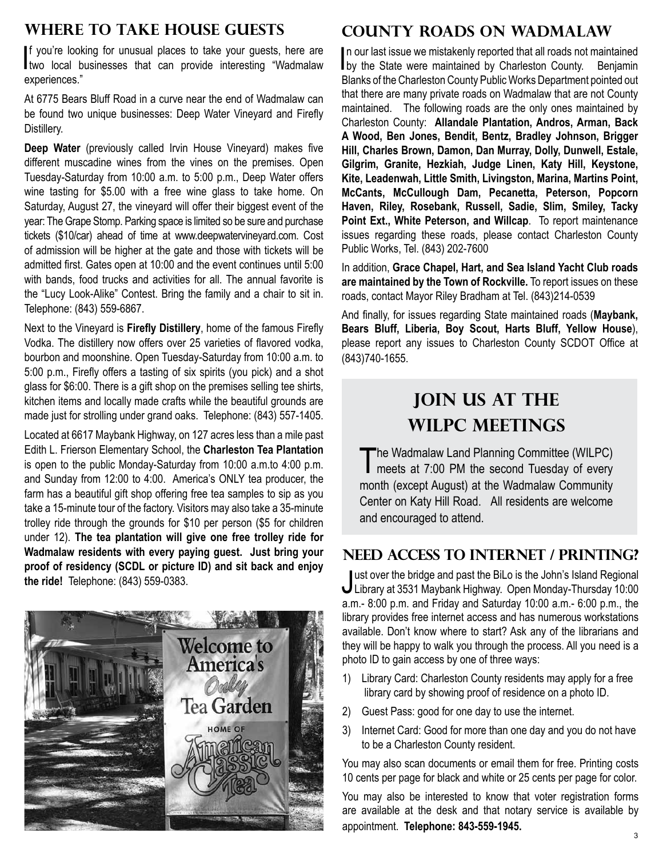### **Where to Take House Guests**

If you're looking for unusual places to take your guests, here are two local businesses that can provide interesting "Wadmalaw f you're looking for unusual places to take your guests, here are experiences."

At 6775 Bears Bluff Road in a curve near the end of Wadmalaw can be found two unique businesses: Deep Water Vineyard and Firefly Distillery.

**Deep Water** (previously called Irvin House Vineyard) makes five different muscadine wines from the vines on the premises. Open Tuesday-Saturday from 10:00 a.m. to 5:00 p.m., Deep Water offers wine tasting for \$5.00 with a free wine glass to take home. On Saturday, August 27, the vineyard will offer their biggest event of the year: The Grape Stomp. Parking space is limited so be sure and purchase tickets (\$10/car) ahead of time at www.deepwatervineyard.com. Cost of admission will be higher at the gate and those with tickets will be admitted first. Gates open at 10:00 and the event continues until 5:00 with bands, food trucks and activities for all. The annual favorite is the "Lucy Look-Alike" Contest. Bring the family and a chair to sit in. Telephone: (843) 559-6867.

Next to the Vineyard is **Firefly Distillery**, home of the famous Firefly Vodka. The distillery now offers over 25 varieties of flavored vodka, bourbon and moonshine. Open Tuesday-Saturday from 10:00 a.m. to 5:00 p.m., Firefly offers a tasting of six spirits (you pick) and a shot glass for \$6:00. There is a gift shop on the premises selling tee shirts, kitchen items and locally made crafts while the beautiful grounds are made just for strolling under grand oaks. Telephone: (843) 557-1405.

Located at 6617 Maybank Highway, on 127 acres less than a mile past Edith L. Frierson Elementary School, the **Charleston Tea Plantation** is open to the public Monday-Saturday from 10:00 a.m.to 4:00 p.m. and Sunday from 12:00 to 4:00. America's ONLY tea producer, the farm has a beautiful gift shop offering free tea samples to sip as you take a 15-minute tour of the factory. Visitors may also take a 35-minute trolley ride through the grounds for \$10 per person (\$5 for children under 12). **The tea plantation will give one free trolley ride for Wadmalaw residents with every paying guest. Just bring your proof of residency (SCDL or picture ID) and sit back and enjoy the ride!** Telephone: (843) 559-0383.



## **County Roads on Wadmalaw**

In our last issue we mistakenly reported that all roads not maintained<br>by the State were maintained by Charleston County. Benjamin n our last issue we mistakenly reported that all roads not maintained Blanks of the Charleston County Public Works Department pointed out that there are many private roads on Wadmalaw that are not County maintained. The following roads are the only ones maintained by Charleston County: **Allandale Plantation, Andros, Arman, Back A Wood, Ben Jones, Bendit, Bentz, Bradley Johnson, Brigger Hill, Charles Brown, Damon, Dan Murray, Dolly, Dunwell, Estale, Gilgrim, Granite, Hezkiah, Judge Linen, Katy Hill, Keystone, Kite, Leadenwah, Little Smith, Livingston, Marina, Martins Point, McCants, McCullough Dam, Pecanetta, Peterson, Popcorn Haven, Riley, Rosebank, Russell, Sadie, Slim, Smiley, Tacky Point Ext., White Peterson, and Willcap**. To report maintenance issues regarding these roads, please contact Charleston County Public Works, Tel. (843) 202-7600

In addition, **Grace Chapel, Hart, and Sea Island Yacht Club roads are maintained by the Town of Rockville.** To report issues on these roads, contact Mayor Riley Bradham at Tel. (843)214-0539

And finally, for issues regarding State maintained roads (**Maybank, Bears Bluff, Liberia, Boy Scout, Harts Bluff, Yellow House**), please report any issues to Charleston County SCDOT Office at (843)740-1655.

## **JOIN US AT THE WILPC Meetings**

The Wadmalaw Land Planning Committee (WILPC)<br>meets at 7:00 PM the second Tuesday of every month (except August) at the Wadmalaw Community Center on Katy Hill Road. All residents are welcome and encouraged to attend.

#### **Need Access to Internet / Printing?**

Just over the bridge and past the BiLo is the John's Island Regional<br>Library at 3531 Maybank Highway. Open Monday-Thursday 10:00 ust over the bridge and past the BiLo is the John's Island Regional a.m.- 8:00 p.m. and Friday and Saturday 10:00 a.m.- 6:00 p.m., the library provides free internet access and has numerous workstations available. Don't know where to start? Ask any of the librarians and they will be happy to walk you through the process. All you need is a photo ID to gain access by one of three ways:

- 1) Library Card: Charleston County residents may apply for a free library card by showing proof of residence on a photo ID.
- 2) Guest Pass: good for one day to use the internet.
- 3) Internet Card: Good for more than one day and you do not have to be a Charleston County resident.

You may also scan documents or email them for free. Printing costs 10 cents per page for black and white or 25 cents per page for color.

You may also be interested to know that voter registration forms are available at the desk and that notary service is available by appointment. **Telephone: 843-559-1945.**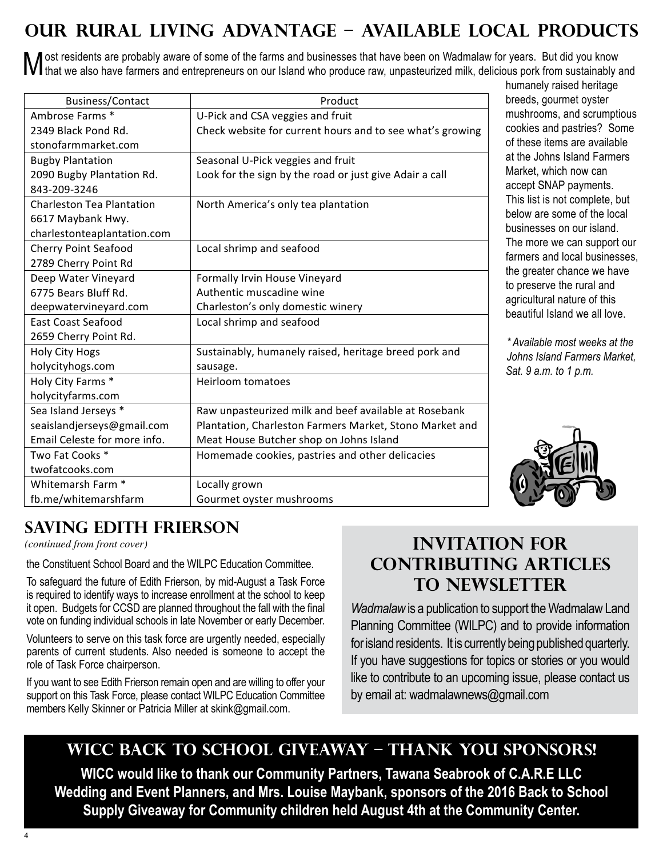## **Our Rural Living Advantage – Available Local Products**

Most residents are probably aware of some of the farms and businesses that have been on Wadmalaw for years. But did you know<br>M that we also have farmers and entrepreneurs on our Island who produce raw, unpasteurized milk,

| Business/Contact                 | Product                                                   |
|----------------------------------|-----------------------------------------------------------|
| Ambrose Farms *                  | U-Pick and CSA veggies and fruit                          |
| 2349 Black Pond Rd.              | Check website for current hours and to see what's growing |
| stonofarmmarket.com              |                                                           |
| <b>Bugby Plantation</b>          | Seasonal U-Pick veggies and fruit                         |
| 2090 Bugby Plantation Rd.        | Look for the sign by the road or just give Adair a call   |
| 843-209-3246                     |                                                           |
| <b>Charleston Tea Plantation</b> | North America's only tea plantation                       |
| 6617 Maybank Hwy.                |                                                           |
| charlestonteaplantation.com      |                                                           |
| <b>Cherry Point Seafood</b>      | Local shrimp and seafood                                  |
| 2789 Cherry Point Rd             |                                                           |
| Deep Water Vineyard              | Formally Irvin House Vineyard                             |
| 6775 Bears Bluff Rd.             | Authentic muscadine wine                                  |
| deepwatervineyard.com            | Charleston's only domestic winery                         |
| East Coast Seafood               | Local shrimp and seafood                                  |
| 2659 Cherry Point Rd.            |                                                           |
| <b>Holy City Hogs</b>            | Sustainably, humanely raised, heritage breed pork and     |
| holycityhogs.com                 | sausage.                                                  |
| Holy City Farms *                | <b>Heirloom tomatoes</b>                                  |
| holycityfarms.com                |                                                           |
| Sea Island Jerseys *             | Raw unpasteurized milk and beef available at Rosebank     |
| seaislandjerseys@gmail.com       | Plantation, Charleston Farmers Market, Stono Market and   |
| Email Celeste for more info.     | Meat House Butcher shop on Johns Island                   |
| Two Fat Cooks *                  | Homemade cookies, pastries and other delicacies           |
| twofatcooks.com                  |                                                           |
| Whitemarsh Farm *                | Locally grown                                             |
| fb.me/whitemarshfarm             | Gourmet oyster mushrooms                                  |

humanely raised heritage breeds, gourmet oyster mushrooms, and scrumptious cookies and pastries? Some of these items are available at the Johns Island Farmers Market, which now can accept SNAP payments. This list is not complete, but below are some of the local businesses on our island. The more we can support our farmers and local businesses, the greater chance we have to preserve the rural and agricultural nature of this beautiful Island we all love.

*\* Available most weeks at the Johns Island Farmers Market, Sat. 9 a.m. to 1 p.m.*



## **SAVING EDITH FRIERSON**

 $(continued from front cover)$   $\blacksquare$ 

the Constituent School Board and the WILPC Education Committee.

To saleguatu the future of Edith Friefson, by filld-August a Task Force<br>is required to identify ways to increase enrollment at the school to keep it open. Budgets for CCSD are planned throughout the fall with the final *Wadmalaw* is a publication to sup To safeguard the future of Edith Frierson, by mid-August a Task Force vote on funding individual schools in late November or early December.

olunteers to serve on this task force are urgently needed, especially for island residents. It is currently being published quarterly.<br>Create of oursest students, Also peoded is compane to essent the for island residents. affect of Task Force chairperson.<br>
Ole of Task Force chairperson. Volunteers to serve on this task force are urgently needed, especially parents of current students. Also needed is someone to accept the role of Task Force chairperson.

tract which is the Education Secretairs of the Martin Secretairs of the Martin Secretairs of the Secretairs of<br>support on this Task Force, please contact WILPC Education Committee by email at: wadmalawnews@gmail.c members Kelly Skinner or Patricia Miller at skink@gmail.com. If you want to see Edith Frierson remain open and are willing to offer your

## **Invitation for Contributing Articles to Newsletter**

ole on lunding individual schools in late ivovernoer or early December. Planning Committee (WILPC) and to provide information I you want to see Edith Frierson remain open and are willing to offer your like to contribute to an upcoming issue, please contact us *Wadmalaw* is a publication to support the Wadmalaw Land by email at: wadmalawnews@gmail.com

## WICC BACK TO SCHOOL GIVEAWAY – THANK YOU SPONSORS!

In the  $\eta$  -defined as  $\eta$  and  $\eta$  as swamps are swamps and  $\eta$  as swamps and  $\eta$ 

land. Although there is evidence that the cemetery was in use in 1890 it dates back further, probably to **WICC would like to thank our Community Partners, Tawana Seabrook of C.A.R.E LLC Wedding and Event Planners, and Mrs. Louise Maybank, sponsors of the 2016 Back to School Supply Giveaway for Community children held August 4th at the Community Center.**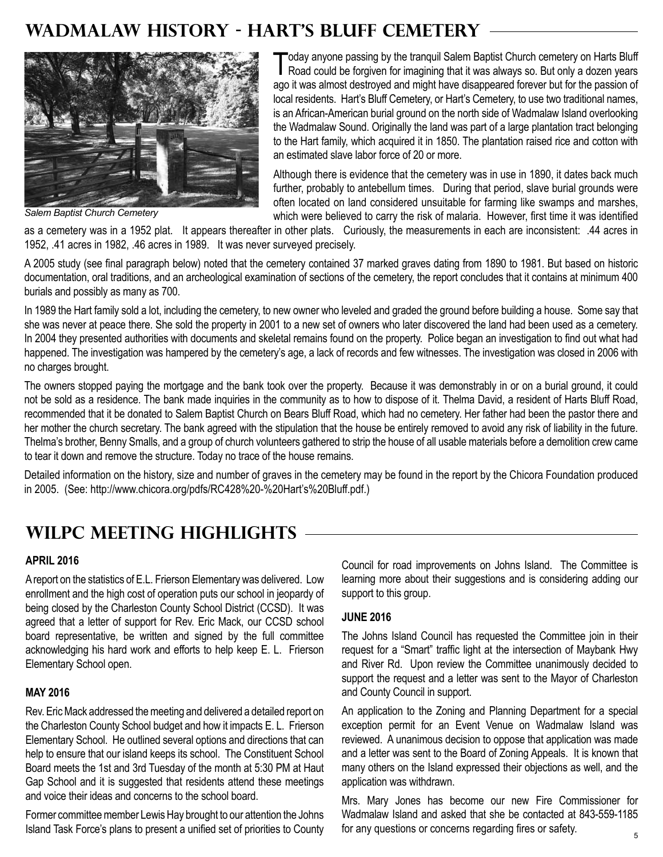## **WADMALAW HISTORY - HART'S BLUFF CEMETERY**



*Salem Baptist Church Cemetery*

Today anyone passing by the tranquil Salem Baptist Church cemetery on Harts Bluff<br>Road could be forgiven for imagining that it was always so. But only a dozen years ago it was almost destroyed and might have disappeared forever but for the passion of local residents. Hart's Bluff Cemetery, or Hart's Cemetery, to use two traditional names, is an African-American burial ground on the north side of Wadmalaw Island overlooking the Wadmalaw Sound. Originally the land was part of a large plantation tract belonging to the Hart family, which acquired it in 1850. The plantation raised rice and cotton with an estimated slave labor force of 20 or more.

Although there is evidence that the cemetery was in use in 1890, it dates back much further, probably to antebellum times. During that period, slave burial grounds were often located on land considered unsuitable for farming like swamps and marshes, which were believed to carry the risk of malaria. However, first time it was identified

as a cemetery was in a 1952 plat. It appears thereafter in other plats. Curiously, the measurements in each are inconsistent: .44 acres in 1952, .41 acres in 1982, .46 acres in 1989. It was never surveyed precisely.

A 2005 study (see final paragraph below) noted that the cemetery contained 37 marked graves dating from 1890 to 1981. But based on historic documentation, oral traditions, and an archeological examination of sections of the cemetery, the report concludes that it contains at minimum 400 burials and possibly as many as 700.

In 1989 the Hart family sold a lot, including the cemetery, to new owner who leveled and graded the ground before building a house. Some say that she was never at peace there. She sold the property in 2001 to a new set of owners who later discovered the land had been used as a cemetery. In 2004 they presented authorities with documents and skeletal remains found on the property. Police began an investigation to find out what had happened. The investigation was hampered by the cemetery's age, a lack of records and few witnesses. The investigation was closed in 2006 with no charges brought.

The owners stopped paying the mortgage and the bank took over the property. Because it was demonstrably in or on a burial ground, it could not be sold as a residence. The bank made inquiries in the community as to how to dispose of it. Thelma David, a resident of Harts Bluff Road, recommended that it be donated to Salem Baptist Church on Bears Bluff Road, which had no cemetery. Her father had been the pastor there and her mother the church secretary. The bank agreed with the stipulation that the house be entirely removed to avoid any risk of liability in the future. Thelma's brother, Benny Smalls, and a group of church volunteers gathered to strip the house of all usable materials before a demolition crew came to tear it down and remove the structure. Today no trace of the house remains.

Detailed information on the history, size and number of graves in the cemetery may be found in the report by the Chicora Foundation produced in 2005. (See: http://www.chicora.org/pdfs/RC428%20-%20Hart's%20Bluff.pdf.)

## **WILPC MEETING HIGHLIGHTS**

#### **April 2016**

A report on the statistics of E.L. Frierson Elementary was delivered. Low enrollment and the high cost of operation puts our school in jeopardy of being closed by the Charleston County School District (CCSD). It was agreed that a letter of support for Rev. Eric Mack, our CCSD school board representative, be written and signed by the full committee acknowledging his hard work and efforts to help keep E. L. Frierson Elementary School open.

#### **May 2016**

Rev. Eric Mack addressed the meeting and delivered a detailed report on the Charleston County School budget and how it impacts E. L. Frierson Elementary School. He outlined several options and directions that can help to ensure that our island keeps its school. The Constituent School Board meets the 1st and 3rd Tuesday of the month at 5:30 PM at Haut Gap School and it is suggested that residents attend these meetings and voice their ideas and concerns to the school board.

Former committee member Lewis Hay brought to our attention the Johns Island Task Force's plans to present a unified set of priorities to County for any questions or concerns regarding fires or safety.

Council for road improvements on Johns Island. The Committee is learning more about their suggestions and is considering adding our support to this group.

#### **June 2016**

The Johns Island Council has requested the Committee join in their request for a "Smart" traffic light at the intersection of Maybank Hwy and River Rd. Upon review the Committee unanimously decided to support the request and a letter was sent to the Mayor of Charleston and County Council in support.

An application to the Zoning and Planning Department for a special exception permit for an Event Venue on Wadmalaw Island was reviewed. A unanimous decision to oppose that application was made and a letter was sent to the Board of Zoning Appeals. It is known that many others on the Island expressed their objections as well, and the application was withdrawn.

Mrs. Mary Jones has become our new Fire Commissioner for Wadmalaw Island and asked that she be contacted at 843-559-1185 for any questions or concerns regarding fires or safety.